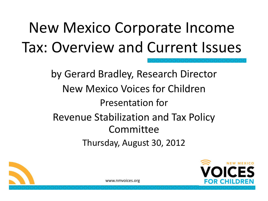# New Mexico Corporate Income Tax: Overview and Current Issues

by Gerard Bradley, Research Director New Mexico Voices for Children Presentation for Revenue Stabilization and Tax Policy Committee Thursday, August 30, 2012



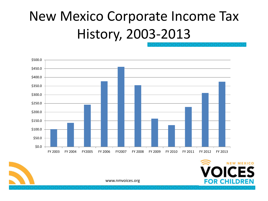### New Mexico Corporate Income Tax History, 2003-2013



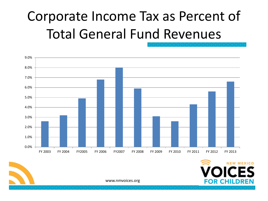### Corporate Income Tax as Percent of Total General Fund Revenues



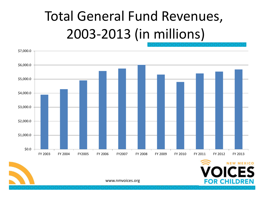### Total General Fund Revenues, 2003-2013 (in millions)





www.nmvoices.org

**FOR CHILDREN**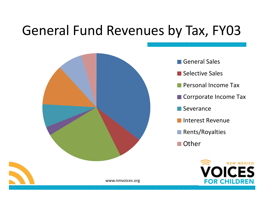### General Fund Revenues by Tax, FY03



General Sales

- Selective Sales
- **Personal Income Tax**
- Corrporate Income Tax
- Severance
- Interest Revenue
- **Rents/Royalties**
- Other

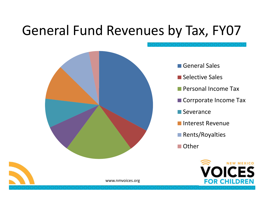### General Fund Revenues by Tax, FY07



- General Sales
- **Selective Sales**
- **Personal Income Tax**
- Corrporate Income Tax
- **Severance**
- **Interest Revenue**
- **Rents/Royalties**
- Other

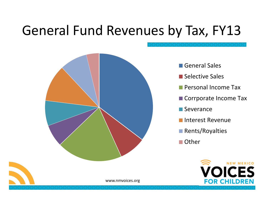### General Fund Revenues by Tax, FY13



- General Sales
- **Selective Sales**
- **Personal Income Tax**
- Corrporate Income Tax
- **Severance**
- **Interest Revenue**
- **Rents/Royalties**
- Other

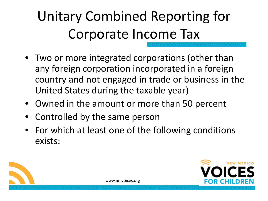- Two or more integrated corporations (other than any foreign corporation incorporated in a foreign country and not engaged in trade or business in the United States during the taxable year)
- Owned in the amount or more than 50 percent
- Controlled by the same person
- For which at least one of the following conditions exists:



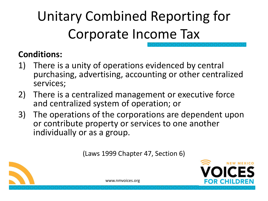#### **Conditions:**

- 1) There is a unity of operations evidenced by central purchasing, advertising, accounting or other centralized services;
- 2) There is a centralized management or executive force and centralized system of operation; or
- 3) The operations of the corporations are dependent upon or contribute property or services to one another individually or as a group.

(Laws 1999 Chapter 47, Section 6)



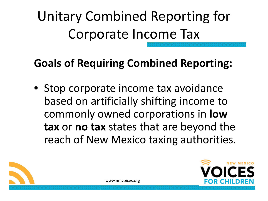### **Goals of Requiring Combined Reporting:**

• Stop corporate income tax avoidance based on artificially shifting income to commonly owned corporations in **low tax** or **no tax** states that are beyond the reach of New Mexico taxing authorities.



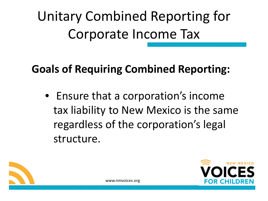### **Goals of Requiring Combined Reporting:**

• Ensure that a corporation's income tax liability to New Mexico is the same regardless of the corporation's legal structure.



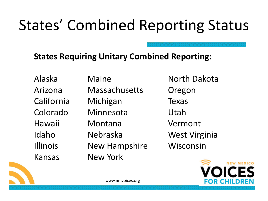## States' Combined Reporting Status

#### **States Requiring Unitary Combined Reporting:**

Arizona Massachusetts Oregon California Michigan Texas Colorado Minnesota Utah Hawaii Montana Vermont Idaho Nebraska West Virginia Illinois New Hampshire Wisconsin Kansas New York

Alaska Maine North Dakota



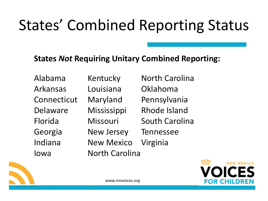# States' Combined Reporting Status

#### **States** *Not* **Requiring Unitary Combined Reporting:**

Alabama Kentucky North Carolina Arkansas Louisiana Oklahoma Connecticut Maryland Pennsylvania Georgia New Jersey Tennessee Indiana New Mexico Virginia Iowa North Carolina

- 
- Delaware Mississippi Rhode Island
- Florida Missouri South Carolina
	-
	-



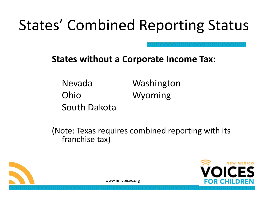## States' Combined Reporting Status

#### **States without a Corporate Income Tax:**

Nevada Washington Ohio Wyoming South Dakota

(Note: Texas requires combined reporting with its franchise tax)



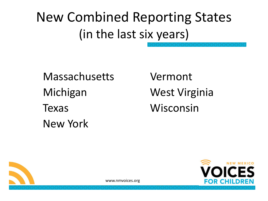New Combined Reporting States (in the last six years)

Massachusetts Vermont Michigan West Virginia Texas Wisconsin New York



**NEW MEXICO** OR CHILDRE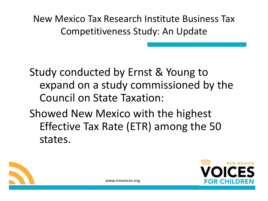Study conducted by Ernst & Young to expand on a study commissioned by the Council on State Taxation:

Showed New Mexico with the highest Effective Tax Rate (ETR) among the 50 states.



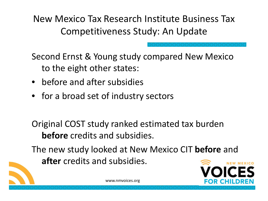Second Ernst & Young study compared New Mexico to the eight other states:

- before and after subsidies
- for a broad set of industry sectors

Original COST study ranked estimated tax burden **before** credits and subsidies.

The new study looked at New Mexico CIT **before** and **after** credits and subsidies.

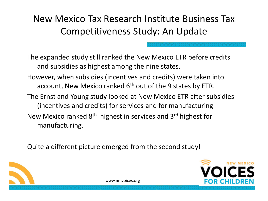The expanded study still ranked the New Mexico ETR before credits and subsidies as highest among the nine states.

- However, when subsidies (incentives and credits) were taken into account, New Mexico ranked 6<sup>th</sup> out of the 9 states by ETR.
- The Ernst and Young study looked at New Mexico ETR after subsidies (incentives and credits) for services and for manufacturing New Mexico ranked 8<sup>th</sup> highest in services and 3<sup>rd</sup> highest for

manufacturing.

Quite a different picture emerged from the second study!



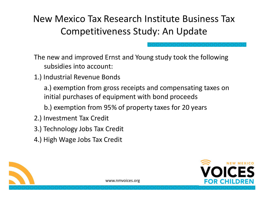The new and improved Ernst and Young study took the following subsidies into account:

1.) Industrial Revenue Bonds

a.) exemption from gross receipts and compensating taxes on initial purchases of equipment with bond proceeds

b.) exemption from 95% of property taxes for 20 years

- 2.) Investment Tax Credit
- 3.) Technology Jobs Tax Credit
- 4.) High Wage Jobs Tax Credit



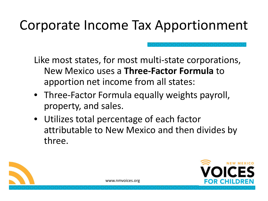### Corporate Income Tax Apportionment

Like most states, for most multi-state corporations, New Mexico uses a **Three-Factor Formula** to apportion net income from all states:

- Three-Factor Formula equally weights payroll, property, and sales.
- Utilizes total percentage of each factor attributable to New Mexico and then divides by three.



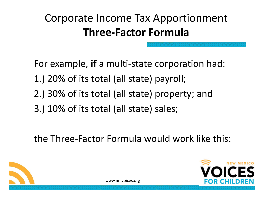### Corporate Income Tax Apportionment **Three-Factor Formula**

For example, **if** a multi-state corporation had: 1.) 20% of its total (all state) payroll; 2.) 30% of its total (all state) property; and

3.) 10% of its total (all state) sales;

the Three-Factor Formula would work like this:



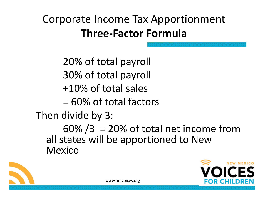### Corporate Income Tax Apportionment **Three-Factor Formula**

20% of total payroll 30% of total payroll +10% of total sales

= 60% of total factors

Then divide by 3:

 $60\% / 3 = 20\%$  of total net income from all states will be apportioned to New Mexico



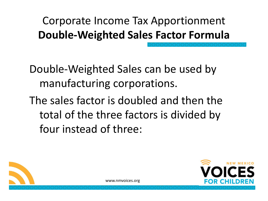### Corporate Income Tax Apportionment **Double-Weighted Sales Factor Formula**

Double-Weighted Sales can be used by manufacturing corporations.

The sales factor is doubled and then the total of the three factors is divided by four instead of three:



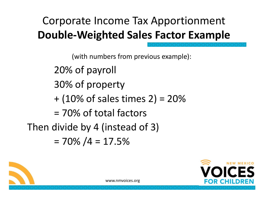### Corporate Income Tax Apportionment **Double-Weighted Sales Factor Example**

(with numbers from previous example): 20% of payroll 30% of property  $+ (10\% \text{ of sales times } 2) = 20\%$ = 70% of total factors Then divide by 4 (instead of 3)  $= 70\% / 4 = 17.5\%$ 

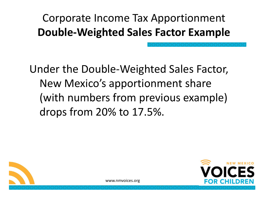### Corporate Income Tax Apportionment **Double-Weighted Sales Factor Example**

Under the Double-Weighted Sales Factor, New Mexico's apportionment share (with numbers from previous example) drops from 20% to 17.5%.



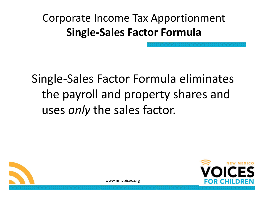Corporate Income Tax Apportionment **Single-Sales Factor Formula**

Single-Sales Factor Formula eliminates the payroll and property shares and uses *only* the sales factor.



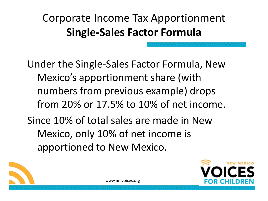### Corporate Income Tax Apportionment **Single-Sales Factor Formula**

Under the Single-Sales Factor Formula, New Mexico's apportionment share (with numbers from previous example) drops from 20% or 17.5% to 10% of net income. Since 10% of total sales are made in New Mexico, only 10% of net income is apportioned to New Mexico.



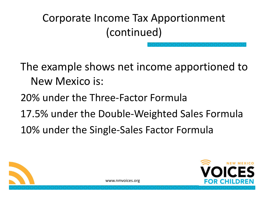Corporate Income Tax Apportionment (continued)

The example shows net income apportioned to New Mexico is:

- 20% under the Three-Factor Formula
- 17.5% under the Double-Weighted Sales Formula
- 10% under the Single-Sales Factor Formula



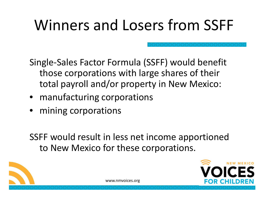# Winners and Losers from SSFF

Single-Sales Factor Formula (SSFF) would benefit those corporations with large shares of their total payroll and/or property in New Mexico:

- manufacturing corporations
- mining corporations

SSFF would result in less net income apportioned to New Mexico for these corporations.



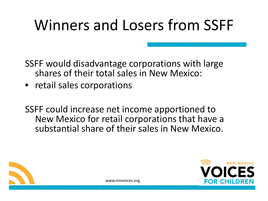## Winners and Losers from SSFF

SSFF would disadvantage corporations with large shares of their total sales in New Mexico:

- retail sales corporations
- SSFF could increase net income apportioned to New Mexico for retail corporations that have a substantial share of their sales in New Mexico.



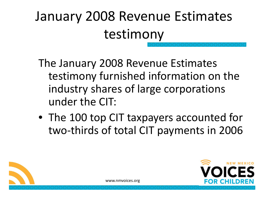### January 2008 Revenue Estimates testimony

- The January 2008 Revenue Estimates testimony furnished information on the industry shares of large corporations under the CIT:
- The 100 top CIT taxpayers accounted for two-thirds of total CIT payments in 2006



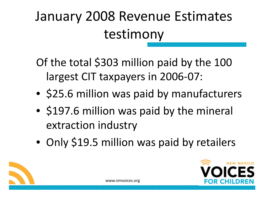### January 2008 Revenue Estimates testimony

Of the total \$303 million paid by the 100 largest CIT taxpayers in 2006-07:

- \$25.6 million was paid by manufacturers
- \$197.6 million was paid by the mineral extraction industry
- Only \$19.5 million was paid by retailers

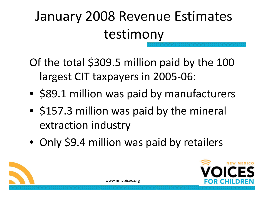### January 2008 Revenue Estimates testimony

Of the total \$309.5 million paid by the 100 largest CIT taxpayers in 2005-06:

- \$89.1 million was paid by manufacturers
- \$157.3 million was paid by the mineral extraction industry
- Only \$9.4 million was paid by retailers

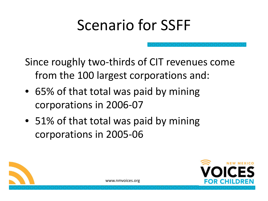Since roughly two-thirds of CIT revenues come from the 100 largest corporations and:

- 65% of that total was paid by mining corporations in 2006-07
- 51% of that total was paid by mining corporations in 2005-06



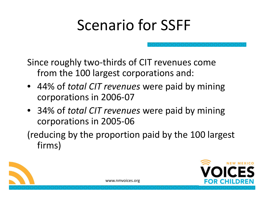Since roughly two-thirds of CIT revenues come from the 100 largest corporations and:

- 44% of *total CIT revenues* were paid by mining corporations in 2006-07
- 34% of *total CIT revenues* were paid by mining corporations in 2005-06

(reducing by the proportion paid by the 100 largest firms)



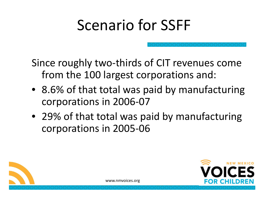Since roughly two-thirds of CIT revenues come from the 100 largest corporations and:

- 8.6% of that total was paid by manufacturing corporations in 2006-07
- 29% of that total was paid by manufacturing corporations in 2005-06



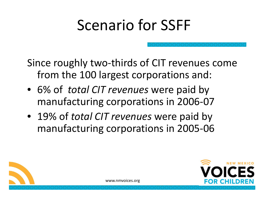Since roughly two-thirds of CIT revenues come from the 100 largest corporations and:

- 6% of *total CIT revenues* were paid by manufacturing corporations in 2006-07
- 19% of *total CIT revenues* were paid by manufacturing corporations in 2005-06



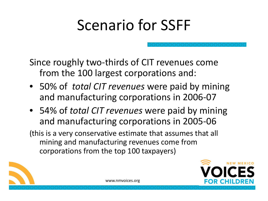Since roughly two-thirds of CIT revenues come from the 100 largest corporations and:

- 50% of *total CIT revenues* were paid by mining and manufacturing corporations in 2006-07
- 54% of *total CIT revenues* were paid by mining and manufacturing corporations in 2005-06

(this is a very conservative estimate that assumes that all mining and manufacturing revenues come from corporations from the top 100 taxpayers)



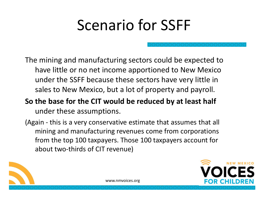The mining and manufacturing sectors could be expected to have little or no net income apportioned to New Mexico under the SSFF because these sectors have very little in sales to New Mexico, but a lot of property and payroll.

- **So the base for the CIT would be reduced by at least half** under these assumptions.
- (Again this is a very conservative estimate that assumes that all mining and manufacturing revenues come from corporations from the top 100 taxpayers. Those 100 taxpayers account for about two-thirds of CIT revenue)

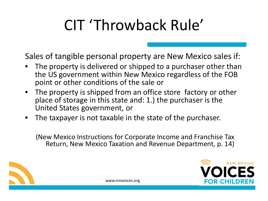# CIT 'Throwback Rule'

Sales of tangible personal property are New Mexico sales if:

- The property is delivered or shipped to a purchaser other than the US government within New Mexico regardless of the FOB point or other conditions of the sale or
- The property is shipped from an office store factory or other place of storage in this state and: 1.) the purchaser is the United States government, or
- The taxpayer is not taxable in the state of the purchaser.

(New Mexico Instructions for Corporate Income and Franchise Tax Return, New Mexico Taxation and Revenue Department, p. 14)